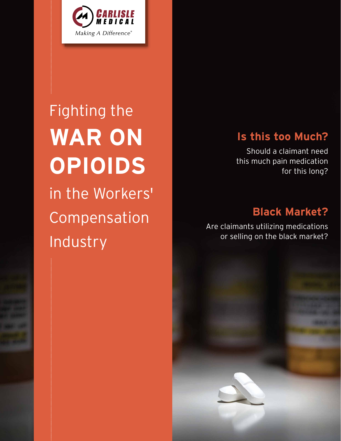

# Fighting the in the Workers' Compensation Industry **WAR ON OPIOIDS**

## **Is this too Much?**

Should a claimant need this much pain medication for this long?

## **Black Market?**

Are claimants utilizing medications or selling on the black market?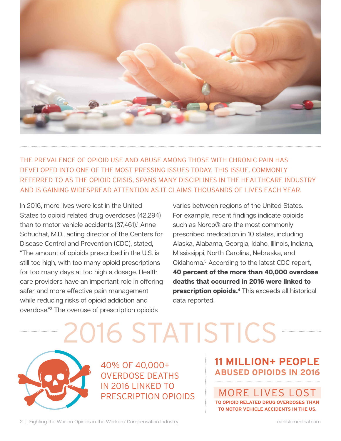

THE PREVALENCE OF OPIOID USE AND ABUSE AMONG THOSE WITH CHRONIC PAIN HAS DEVELOPED INTO ONE OF THE MOST PRESSING ISSUES TODAY. THIS ISSUE, COMMONLY REFERRED TO AS THE OPIOID CRISIS, SPANS MANY DISCIPLINES IN THE HEALTHCARE INDUSTRY AND IS GAINING WIDESPREAD ATTENTION AS IT CLAIMS THOUSANDS OF LIVES EACH YEAR.

In 2016, more lives were lost in the United States to opioid related drug overdoses (42,294) than to motor vehicle accidents (37,461).<sup>1</sup> Anne Schuchat, M.D., acting director of the Centers for Disease Control and Prevention (CDC), stated, "The amount of opioids prescribed in the U.S. is still too high, with too many opioid prescriptions for too many days at too high a dosage. Health care providers have an important role in offering safer and more effective pain management while reducing risks of opioid addiction and overdose."2 The overuse of prescription opioids

varies between regions of the United States. For example, recent findings indicate opioids such as Norco® are the most commonly prescribed medication in 10 states, including Alaska, Alabama, Georgia, Idaho, Illinois, Indiana, Mississippi, North Carolina, Nebraska, and Oklahoma.3 According to the latest CDC report, **40 percent of the more than 40,000 overdose deaths that occurred in 2016 were linked to prescription opioids.**<sup>4</sup> This exceeds all historical data reported.



40% OF 40,000+ OVERDOSE DEATHS IN 2016 LINKED TO PRESCRIPTION OPIOIDS

## **11 MILLION+ PEOPLE ABUSED OPIOIDS IN 2016**

MORE LIVES LOS **OPIOID RELATED DRUG OVERDOSES TO MOTOR VEHICLE ACCIDENTS IN THE US.**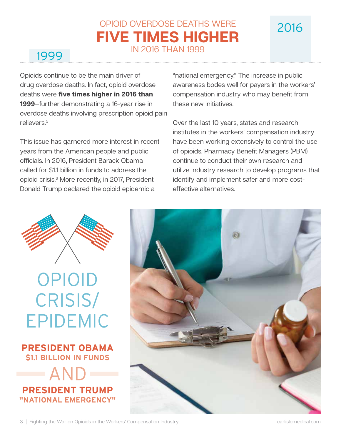## OPIOID OVERDOSE DEATHS WERE **FIVE TIMES HIGHER** IN 2016 THAN 1999

Opioids continue to be the main driver of drug overdose deaths. In fact, opioid overdose deaths were **five times higher in 2016 than 1999**—further demonstrating a 16-year rise in overdose deaths involving prescription opioid pain relievers.<sup>5</sup>

This issue has garnered more interest in recent years from the American people and public officials. In 2016, President Barack Obama called for \$1.1 billion in funds to address the opioid crisis.6 More recently, in 2017, President Donald Trump declared the opioid epidemic a

"national emergency." The increase in public awareness bodes well for payers in the workers' compensation industry who may benefit from these new initiatives.

2016

Over the last 10 years, states and research institutes in the workers' compensation industry have been working extensively to control the use of opioids. Pharmacy Benefit Managers (PBM) continue to conduct their own research and utilize industry research to develop programs that identify and implement safer and more costeffective alternatives.



# OPIOID CRISIS/ EPIDEMIC





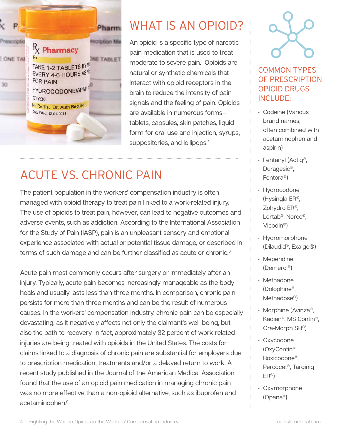

## WHAT IS AN OPIOID?

An opioid is a specific type of narcotic pain medication that is used to treat moderate to severe pain. Opioids are natural or synthetic chemicals that interact with opioid receptors in the brain to reduce the intensity of pain signals and the feeling of pain. Opioids are available in numerous forms tablets, capsules, skin patches, liquid form for oral use and injection, syrups, suppositories, and lollipops.<sup>7</sup>

## ACUTE VS. CHRONIC PAIN

The patient population in the workers' compensation industry is often managed with opioid therapy to treat pain linked to a work-related injury. The use of opioids to treat pain, however, can lead to negative outcomes and adverse events, such as addiction. According to the International Association for the Study of Pain (IASP), pain is an unpleasant sensory and emotional experience associated with actual or potential tissue damage, or described in terms of such damage and can be further classified as acute or chronic.<sup>8</sup>

Acute pain most commonly occurs after surgery or immediately after an injury. Typically, acute pain becomes increasingly manageable as the body heals and usually lasts less than three months. In comparison, chronic pain persists for more than three months and can be the result of numerous causes. In the workers' compensation industry, chronic pain can be especially devastating, as it negatively affects not only the claimant's well-being, but also the path to recovery. In fact, approximately 32 percent of work-related injuries are being treated with opioids in the United States. The costs for claims linked to a diagnosis of chronic pain are substantial for employers due to prescription medication, treatments and/or a delayed return to work. A recent study published in the Journal of the American Medical Association found that the use of an opioid pain medication in managing chronic pain was no more effective than a non-opioid alternative, such as ibuprofen and acetaminophen.<sup>9</sup>



## COMMON TYPES OF PRESCRIPTION OPIOID DRUGS INCLUDE:

- Codeine (Various brand names; often combined with acetaminophen and aspirin)
- Fentanyl (Actiq®, Duragesic®, Fentora®)
- Hydrocodone (Hysingla ER®, Zohydro ER®, Lortab®, Norco®, Vicodin®)
- Hydromorphone (Dilaudid®, Exalgo®)
- Meperidine (Demerol®)
- Methadone (Dolophine®, Methadose®)
- Morphine (Avinza®, Kadian®, MS Contin®, Ora-Morph SR®)
- Oxycodone (OxyContin®, Roxicodone®, Percocet®, Targiniq ER®)
- Oxymorphone (Opana®)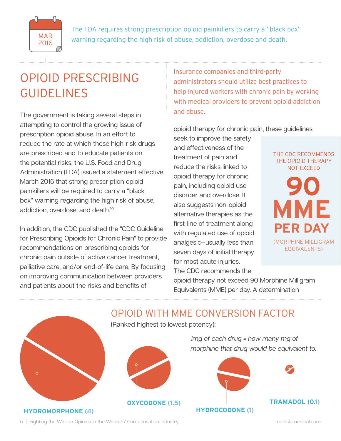

The FDA requires strong prescription opioid painkillers to carry a "black box"  $MAR$  warning regarding the high risk of abuse, addiction, overdose and death.

## OPIOID PRESCRIBING GUIDELINES

The government is taking several steps in attempting to control the growing issue of prescription opioid abuse. In an effort to reduce the rate at which these high-risk drugs are prescribed and to educate patients on the potential risks, the U.S. Food and Drug Administration (FDA) issued a statement effective March 2016 that strong prescription opioid painkillers will be required to carry a "black box" warning regarding the high risk of abuse, addiction, overdose, and death.<sup>10</sup>

In addition, the CDC published the "CDC Guideline for Prescribing Opioids for Chronic Pain" to provide recommendations on prescribing opioids for chronic pain outside of active cancer treatment, palliative care, and/or end-of-life care. By focusing on improving communication between providers and patients about the risks and benefits of

Insurance companies and third-party administrators should utilize best practices to help injured workers with chronic pain by working with medical providers to prevent opioid addiction and abuse.

opioid therapy for chronic pain, these guidelines

seek to improve the safety and effectiveness of the treatment of pain and reduce the risks linked to opioid therapy for chronic pain, including opioid use disorder and overdose. It also suggests non-opioid alternative therapies as the first-line of treatment along with regulated use of opioid analgesic—usually less than seven days of initial therapy for most acute injuries. The CDC recommends the

THE CDC RECOMMENDS THE OPIOID THERAPY NOT EXCEED



opioid therapy not exceed 90 Morphine Milligram Equivalents (MME) per day. A determination

## OPIOID WITH MME CONVERSION FACTOR (Ranked highest to lowest potency): *1mg of each drug = how many mg of morphine that drug would be equivalent to.* **HYDROMORPHONE (4) OXYCODONE (1.5) HYDROCODONE (1) TRAMADOL (0.1)**

5 | Fighting the War on Opioids in the Workers' Compensation Industry carlislemedical.com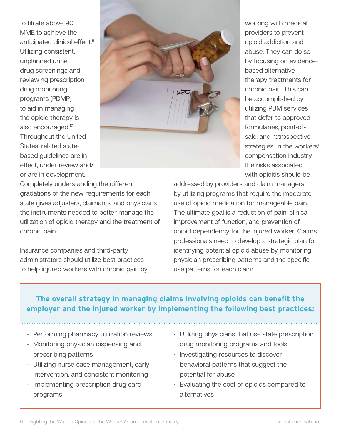to titrate above 90 MME to achieve the anticipated clinical effect.5 Utilizing consistent, unplanned urine drug screenings and reviewing prescription drug monitoring programs (PDMP) to aid in managing the opioid therapy is also encouraged.10 Throughout the United States, related statebased guidelines are in effect, under review and/ or are in development.



providers to prevent opioid addiction and abuse. They can do so by focusing on evidencebased alternative therapy treatments for chronic pain. This can be accomplished by utilizing PBM services that defer to approved formularies, point-ofsale, and retrospective strategies. In the workers' compensation industry, the risks associated with opioids should be

working with medical

Completely understanding the different gradations of the new requirements for each state gives adjusters, claimants, and physicians the instruments needed to better manage the utilization of opioid therapy and the treatment of chronic pain.

Insurance companies and third-party administrators should utilize best practices to help injured workers with chronic pain by

addressed by providers and claim managers by utilizing programs that require the moderate use of opioid medication for manageable pain. The ultimate goal is a reduction of pain, clinical improvement of function, and prevention of opioid dependency for the injured worker. Claims professionals need to develop a strategic plan for identifying potential opioid abuse by monitoring physician prescribing patterns and the specific use patterns for each claim.

## **The overall strategy in managing claims involving opioids can benefit the employer and the injured worker by implementing the following best practices:**

- Performing pharmacy utilization reviews
- Monitoring physician dispensing and prescribing patterns
- Utilizing nurse case management, early intervention, and consistent monitoring
- Implementing prescription drug card programs
- Utilizing physicians that use state prescription drug monitoring programs and tools
- Investigating resources to discover behavioral patterns that suggest the potential for abuse
- Evaluating the cost of opioids compared to alternatives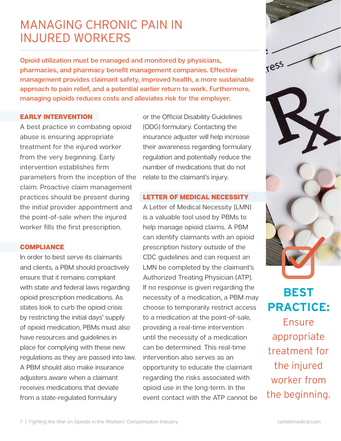## MANAGING CHRONIC PAIN IN INJURED WORKERS

**Opioid utilization must be managed and monitored by physicians, pharmacies, and pharmacy benefit management companies. Effective management provides claimant safety, improved health, a more sustainable approach to pain relief, and a potential earlier return to work. Furthermore, managing opioids reduces costs and alleviates risk for the employer.** 

#### EARLY INTERVENTION

A best practice in combating opioid abuse is ensuring appropriate treatment for the injured worker from the very beginning. Early intervention establishes firm parameters from the inception of the claim. Proactive claim management practices should be present during the initial provider appointment and the point-of-sale when the injured worker fills the first prescription.

#### **COMPLIANCE**

In order to best serve its claimants and clients, a PBM should proactively ensure that it remains compliant with state and federal laws regarding opioid prescription medications. As states look to curb the opioid crisis by restricting the initial days' supply of opioid medication, PBMs must also have resources and guidelines in place for complying with these new regulations as they are passed into law. A PBM should also make insurance adjusters aware when a claimant receives medications that deviate from a state-regulated formulary

or the Official Disability Guidelines (ODG) formulary. Contacting the insurance adjuster will help increase their awareness regarding formulary regulation and potentially reduce the number of medications that do not relate to the claimant's injury.

## LETTER OF MEDICAL NECESSITY

A Letter of Medical Necessity (LMN) is a valuable tool used by PBMs to help manage opioid claims. A PBM can identify claimants with an opioid prescription history outside of the CDC guidelines and can request an LMN be completed by the claimant's Authorized Treating Physician (ATP). If no response is given regarding the necessity of a medication, a PBM may choose to temporarily restrict access to a medication at the point-of-sale, providing a real-time intervention until the necessity of a medication can be determined. This real-time intervention also serves as an opportunity to educate the claimant regarding the risks associated with opioid use in the long-term. In the event contact with the ATP cannot be



**BEST PRACTICE:** Ensure appropriate treatment for the injured worker from the beginning.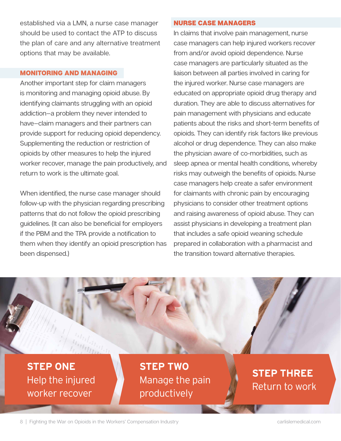established via a LMN, a nurse case manager should be used to contact the ATP to discuss the plan of care and any alternative treatment options that may be available.

#### MONITORING AND MANAGING

Another important step for claim managers is monitoring and managing opioid abuse. By identifying claimants struggling with an opioid addiction—a problem they never intended to have—claim managers and their partners can provide support for reducing opioid dependency. Supplementing the reduction or restriction of opioids by other measures to help the injured worker recover, manage the pain productively, and return to work is the ultimate goal.

When identified, the nurse case manager should follow-up with the physician regarding prescribing patterns that do not follow the opioid prescribing guidelines. (It can also be beneficial for employers if the PBM and the TPA provide a notification to them when they identify an opioid prescription has been dispensed.)

#### NURSE CASE MANAGERS

In claims that involve pain management, nurse case managers can help injured workers recover from and/or avoid opioid dependence. Nurse case managers are particularly situated as the liaison between all parties involved in caring for the injured worker. Nurse case managers are educated on appropriate opioid drug therapy and duration. They are able to discuss alternatives for pain management with physicians and educate patients about the risks and short-term benefits of opioids. They can identify risk factors like previous alcohol or drug dependence. They can also make the physician aware of co-morbidities, such as sleep apnea or mental health conditions, whereby risks may outweigh the benefits of opioids. Nurse case managers help create a safer environment for claimants with chronic pain by encouraging physicians to consider other treatment options and raising awareness of opioid abuse. They can assist physicians in developing a treatment plan that includes a safe opioid weaning schedule prepared in collaboration with a pharmacist and the transition toward alternative therapies.

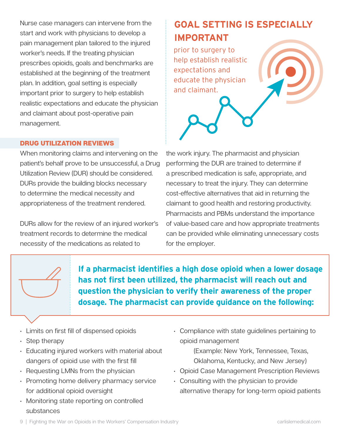Nurse case managers can intervene from the start and work with physicians to develop a pain management plan tailored to the injured worker's needs. If the treating physician prescribes opioids, goals and benchmarks are established at the beginning of the treatment plan. In addition, goal setting is especially important prior to surgery to help establish realistic expectations and educate the physician and claimant about post-operative pain management.

## **GOAL SETTING IS ESPECIALLY IMPORTANT**

prior to surgery to help establish realistic expectations and educate the physician and claimant.



### DRUG UTILIZATION REVIEWS

When monitoring claims and intervening on the patient's behalf prove to be unsuccessful, a Drug Utilization Review (DUR) should be considered. DURs provide the building blocks necessary to determine the medical necessity and appropriateness of the treatment rendered.

DURs allow for the review of an injured worker's treatment records to determine the medical necessity of the medications as related to

the work injury. The pharmacist and physician performing the DUR are trained to determine if a prescribed medication is safe, appropriate, and necessary to treat the injury. They can determine cost-effective alternatives that aid in returning the claimant to good health and restoring productivity. Pharmacists and PBMs understand the importance of value-based care and how appropriate treatments can be provided while eliminating unnecessary costs for the employer.

**If a pharmacist identifies a high dose opioid when a lower dosage has not first been utilized, the pharmacist will reach out and question the physician to verify their awareness of the proper dosage. The pharmacist can provide guidance on the following:**

- Limits on first fill of dispensed opioids
- Step therapy
- Educating injured workers with material about dangers of opioid use with the first fill
- Requesting LMNs from the physician
- Promoting home delivery pharmacy service for additional opioid oversight
- Monitoring state reporting on controlled substances

• Compliance with state guidelines pertaining to opioid management

> (Example: New York, Tennessee, Texas, Oklahoma, Kentucky, and New Jersey)

- Opioid Case Management Prescription Reviews
- Consulting with the physician to provide alternative therapy for long-term opioid patients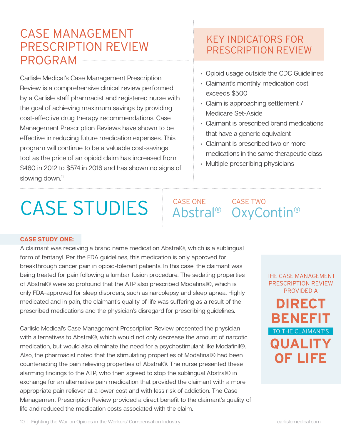## CASE MANAGEMENT PRESCRIPTION REVIEW PROGRAM

Carlisle Medical's Case Management Prescription Review is a comprehensive clinical review performed by a Carlisle staff pharmacist and registered nurse with the goal of achieving maximum savings by providing cost-effective drug therapy recommendations. Case Management Prescription Reviews have shown to be effective in reducing future medication expenses. This program will continue to be a valuable cost-savings tool as the price of an opioid claim has increased from \$460 in 2012 to \$574 in 2016 and has shown no signs of slowing down.<sup>11</sup>

## KEY INDICATORS FOR PRESCRIPTION REVIEW

- Opioid usage outside the CDC Guidelines
- Claimant's monthly medication cost exceeds \$500
- Claim is approaching settlement / Medicare Set-Aside
- Claimant is prescribed brand medications that have a generic equivalent
- Claimant is prescribed two or more medications in the same therapeutic class
- Multiple prescribing physicians

# CASE STUDIES Abstral® OxyContin®

# CASE ONE

#### **CASE STUDY ONE:**

A claimant was receiving a brand name medication Abstral®, which is a sublingual form of fentanyl. Per the FDA guidelines, this medication is only approved for breakthrough cancer pain in opioid-tolerant patients. In this case, the claimant was being treated for pain following a lumbar fusion procedure. The sedating properties of Abstral® were so profound that the ATP also prescribed Modafinal®, which is only FDA-approved for sleep disorders, such as narcolepsy and sleep apnea. Highly medicated and in pain, the claimant's quality of life was suffering as a result of the prescribed medications and the physician's disregard for prescribing guidelines.

Carlisle Medical's Case Management Prescription Review presented the physician with alternatives to Abstral®, which would not only decrease the amount of narcotic medication, but would also eliminate the need for a psychostimulant like Modafinil®. Also, the pharmacist noted that the stimulating properties of Modafinal® had been counteracting the pain relieving properties of Abstral®. The nurse presented these alarming findings to the ATP, who then agreed to stop the sublingual Abstral® in exchange for an alternative pain medication that provided the claimant with a more appropriate pain reliever at a lower cost and with less risk of addiction. The Case Management Prescription Review provided a direct benefit to the claimant's quality of life and reduced the medication costs associated with the claim.

**DIRECT BENEFIT QUALITY OF LIFE** THE CASE MANAGEMENT PRESCRIPTION REVIEW PROVIDED A TO THE CLAIMANT'S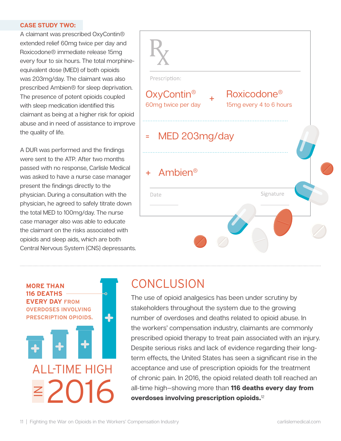#### **CASE STUDY TWO:**

A claimant was prescribed OxyContin® extended relief 60mg twice per day and Roxicodone® immediate release 15mg every four to six hours. The total morphineequivalent dose (MED) of both opioids was 203mg/day. The claimant was also prescribed Ambien® for sleep deprivation. The presence of potent opioids coupled with sleep medication identified this claimant as being at a higher risk for opioid abuse and in need of assistance to improve the quality of life.

A DUR was performed and the findings were sent to the ATP. After two months passed with no response, Carlisle Medical was asked to have a nurse case manager present the findings directly to the physician. During a consultation with the physician, he agreed to safely titrate down the total MED to 100mg/day. The nurse case manager also was able to educate the claimant on the risks associated with opioids and sleep aids, which are both Central Nervous System (CNS) depressants.



## **CONCLUSION**

The use of opioid analgesics has been under scrutiny by stakeholders throughout the system due to the growing number of overdoses and deaths related to opioid abuse. In the workers' compensation industry, claimants are commonly prescribed opioid therapy to treat pain associated with an injury. Despite serious risks and lack of evidence regarding their longterm effects, the United States has seen a significant rise in the acceptance and use of prescription opioids for the treatment of chronic pain. In 2016, the opioid related death toll reached an all-time high—showing more than **116 deaths every day from overdoses involving prescription opioids.**<sup>12</sup>

ALL-TIME HIGH

**MORE THAN 116 DEATHS EVERY DAY FROM OVERDOSES INVOLVING PRESCRIPTION OPIOIDS.**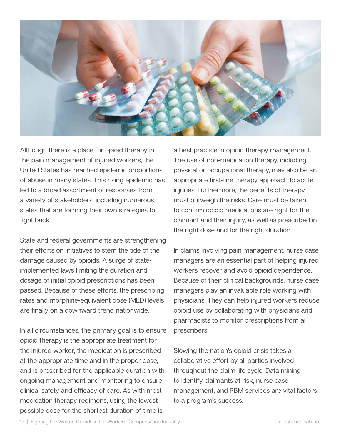

Although there is a place for opioid therapy in the pain management of injured workers, the United States has reached epidemic proportions of abuse in many states. This rising epidemic has led to a broad assortment of responses from a variety of stakeholders, including numerous states that are forming their own strategies to fight back.

State and federal governments are strengthening their efforts on initiatives to stem the tide of the damage caused by opioids. A surge of stateimplemented laws limiting the duration and dosage of initial opioid prescriptions has been passed. Because of these efforts, the prescribing rates and morphine-equivalent dose (MED) levels are finally on a downward trend nationwide.

In all circumstances, the primary goal is to ensure opioid therapy is the appropriate treatment for the injured worker, the medication is prescribed at the appropriate time and in the proper dose, and is prescribed for the applicable duration with ongoing management and monitoring to ensure clinical safety and efficacy of care. As with most medication therapy regimens, using the lowest possible dose for the shortest duration of time is

a best practice in opioid therapy management. The use of non-medication therapy, including physical or occupational therapy, may also be an appropriate first-line therapy approach to acute injuries. Furthermore, the benefits of therapy must outweigh the risks. Care must be taken to confirm opioid medications are right for the claimant and their injury, as well as prescribed in the right dose and for the right duration.

In claims involving pain management, nurse case managers are an essential part of helping injured workers recover and avoid opioid dependence. Because of their clinical backgrounds, nurse case managers play an invaluable role working with physicians. They can help injured workers reduce opioid use by collaborating with physicians and pharmacists to monitor prescriptions from all prescribers.

Slowing the nation's opioid crisis takes a collaborative effort by all parties involved throughout the claim life cycle. Data mining to identify claimants at risk, nurse case management, and PBM services are vital factors to a program's success.